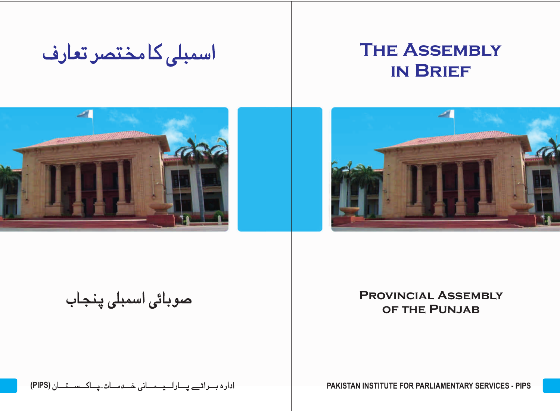اسمبلي كامختصر تعارف

## **The Assembly in Brief**





صوبائی اسمبلی پنجاب

#### **Provincial Assembly of the Punjab**

**(PIPS) PAKISTAN INSTITUTE FOR PARLIAMENTARY SERVICES - PIPS**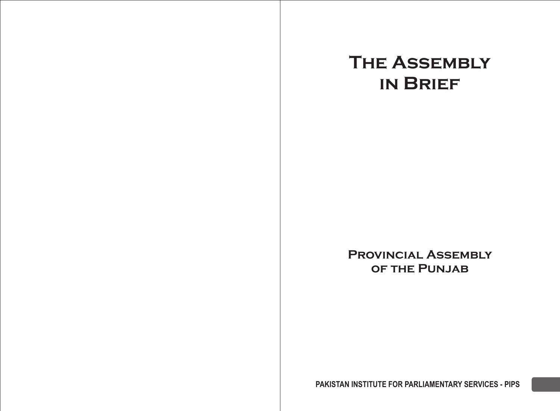## **The Assembly in Brief**

**Provincial Assembly of the Punjab**

**PAKISTAN INSTITUTE FOR PARLIAMENTARY SERVICES - PIPS**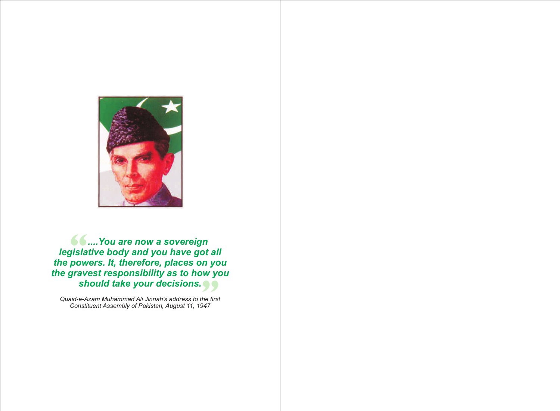

**• 6 .... You are now a sovereign** *legislative body and you have got all the powers. It, therefore, places on you the gravest responsibility as to how you should take your decisions.*

*Quaid-e-Azam Muhammad Ali Jinnah's address to the first Constituent Assembly of Pakistan, August 11, 1947*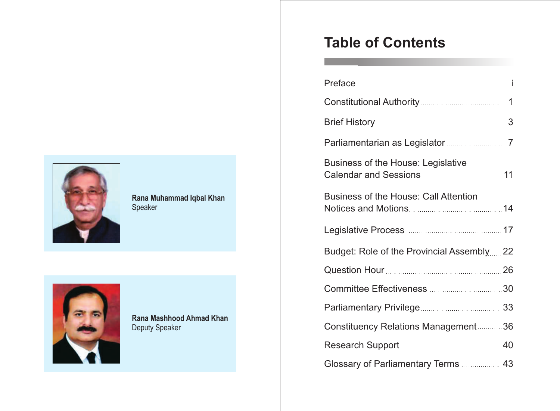

#### **Rana Muhammad Iqbal Khan**  Speaker



**Rana Mashhood Ahmad Khan** Deputy Speaker

## **Table of Contents**

|                                           | 3 |
|-------------------------------------------|---|
|                                           |   |
| Business of the House: Legislative        |   |
| Business of the House: Call Attention     |   |
|                                           |   |
| Budget: Role of the Provincial Assembly22 |   |
|                                           |   |
|                                           |   |
|                                           |   |
| Constituency Relations Management36       |   |
|                                           |   |
|                                           |   |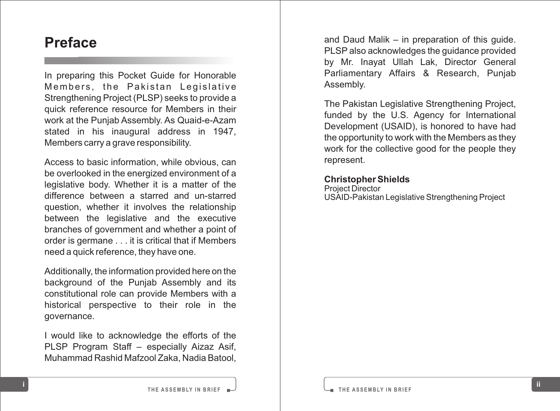### **Preface**

In preparing this Pocket Guide for Honorable<br>Members, the Pakistan Legislative Strengthening Project (PLSP) seeks to provide a quick reference resource for Members in their work at the Punjab Assembly. As Quaid-e-Azam stated in his inaugural address in 1947, Members carry a grave responsibility .

Access to basic information, while obvious, can be overlooked in the energized environment of a legislative body. Whether it is a matter of the difference between a starred and un-starred question, whether it involves the relationship between the legislative and the executive branches of government and whether a point of order is germane . . . it is critical that if Members need a quick reference, they have one.

Additionally, the information provided here on the background of the Punjab Assembly and its constitutional role can provide Members with a historical perspective to their role in the governance.

I would like to acknowledge the efforts of the PLSP Program Staff – especially Aizaz Asif, Muhammad Rashid Mafzool Zaka, Nadia Batool,

and Daud Malik – in preparation of this guide. PLSP also acknowledges the guidance provided by Mr. Inayat Ullah Lak, Director General Parliamentary Affairs & Research, Punjab Assembly.

The Pakistan Legislative Strengthening Project, funded by the U.S. Agency for International Development (USAID), is honored to have had the opportunity to work with the Members as they work for the collective good for the people they represent.

#### **Christopher Shields**

Project Director USAID-Pakistan Legislative Strengthening Project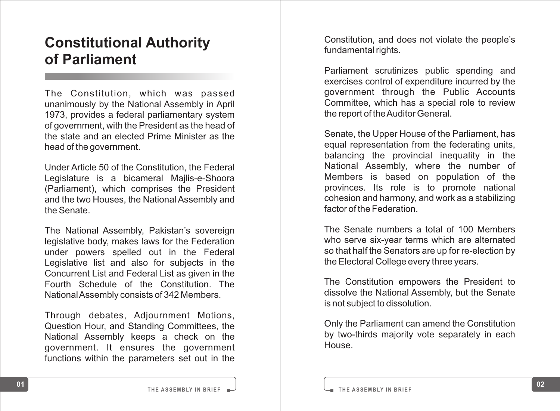## **Constitutional Authority of Parliament**

The Constitution, which was passed unanimously by the National Assembly in April 1973, provides a federal parliamentary system of government, with the President as the head of the state and an elected Prime Minister as the head of the government.

Under Article 50 of the Constitution, the Federal Legislature is a bicameral Majlis-e-Shoora (Parliament), which comprises the President and the two Houses, the National Assembly and the Senate.

The National Assembly, Pakistan's sovereign legislative body, makes laws for the Federation under powers spelled out in the Federal Legislative list and also for subjects in the Concurrent List and Federal List as given in the Fourth Schedule of the Constitution. The National Assembly consists of 342 Members.

Through debates, Adjournment Motio n s , Question Hour, and Standing Committees, the National Assembly keeps a check on the government. It ensures the government functions within the parameters set out in the

Constitution, and does not violate the people's fundamental rights.

Parliament scrutinizes public spending and exercises control of expenditure incurred by the government through the Public Accounts Committee, which has a special role to review the report of the Auditor General.

Senate, the Upper House of the Parliament, has equal representation from the federating units, balancing the provincial inequality in the National Assembly, where the number of Members is based on population of the provinces. Its role is to promote national cohesion and harmony, and work as a stabilizing factor of the Federation.

The Senate numbers a total of 100 Members who serve six-year terms which are alternated so that half the Senators are up for re-election by the Electoral College every three years.

The Constitution empowers the President to dissolve the National Assembly, but the Senate is not subject to dissolution.

Only the Parliament can amend the Constitution by two-thirds majority vote separately in each House.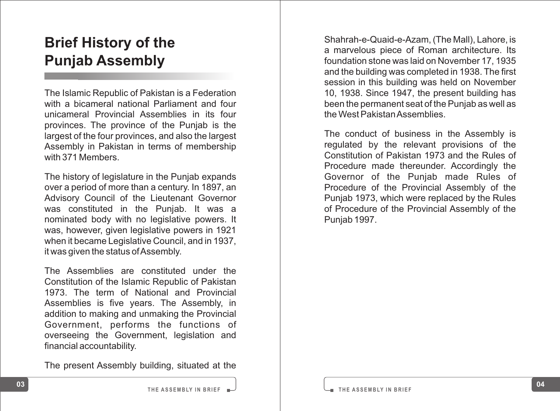## **Brief History of the Punjab Assembly**

The Islamic Republic of Pakistan is a Federation with a bicameral national Parliament and four unicameral Provincial Assemblies in its four provinces. The province of the Punjab is the largest of the four provinces, and also the largest Assembly in Pakistan in terms of membership with 371 Members.

The history of legislature in the Punjab expands over a period of more than a century. In 1897, an Advisory Council of the Lieutenant Governor was constituted in the Punjab. It was a nominated body with no legislative powers. It was, however, given legislative powers in 1921 when it became Legislative Council, and in 1937, it was given the status of Assembly .

The Assemblies are constituted under the Constitution of the Islamic Republic of Pakistan 1973. The term of National and Provincial Assemblies is five years. The Assembly, in addition to making and unmaking the Provincial Government, performs the functions of overseeing the Government, legislation and financial accountability .

The present Assembly building, situated at the

Shahrah-e-Quaid-e-Azam, (The Mall), Lahore, is a marvelous piece of Roman architecture. Its foundation stone was laid on November 17, 1935 and the building was completed in 1938. The first session in this building was held on November 10, 1938. Since 1947, the present building has been the permanent seat of the Punjab as well as the West Pakistan Assemblies.

The conduct of business in the Assembly is regulated by the relevant provisions of the Constitution of Pakistan 1973 and the Rules of Procedure made thereunder. Accordingly the Governor of the Punjab made Rules of Procedure of the Provincial Assembly of the Punjab 1973, which were replaced by the Rules of Procedure of the Provincial Assembly of the Punjab 1997.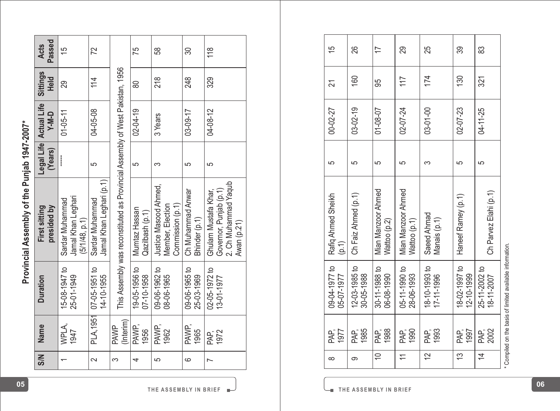| i<br>ຸຣິ<br>i    |  |
|------------------|--|
| y on the Funlato |  |
| ś<br>5           |  |
|                  |  |
|                  |  |

|                                              | Passed<br><b>Acts</b>        | 15                                                     | $\overline{2}$                              |                                                                               | 75                               | 58                                                            | $\mathcal{S}$                      | 118                                                                                  | 15                          | 8                           | 17                                 | 29                                 | 25                          | 89                            | 83                          |                                                           |
|----------------------------------------------|------------------------------|--------------------------------------------------------|---------------------------------------------|-------------------------------------------------------------------------------|----------------------------------|---------------------------------------------------------------|------------------------------------|--------------------------------------------------------------------------------------|-----------------------------|-----------------------------|------------------------------------|------------------------------------|-----------------------------|-------------------------------|-----------------------------|-----------------------------------------------------------|
|                                              | Sittings<br>Held             | 89                                                     | 114                                         |                                                                               | 80                               | 218                                                           | 248                                | 329                                                                                  | $\overline{z}$              | 160                         | မ္တ                                | $\overline{11}$                    | 174                         | 130                           | 321                         |                                                           |
|                                              | Actual Life<br><b>V-M-D</b>  | $01 - 05 - 11$                                         | 04-05-08                                    |                                                                               | $02 - 04 - 19$                   | 3 Years                                                       | 03-09-17                           | 04-08-12                                                                             | 00-02-27                    | $03 - 02 - 19$              | 01-08-07                           | 02-07-24                           | 03-01-00                    | 02-07-23                      | 04-11-25                    |                                                           |
|                                              | Legal Life<br>(Years)        |                                                        | 5                                           |                                                                               | 5                                | S                                                             | 5                                  | 5                                                                                    | 5                           | 5                           | 5                                  | 5                                  | S                           | LO.                           | 5                           |                                                           |
| Provincial Assembly of the Punjab 1947-2007* | presided by<br>First sitting | Jamal Khan Leghari<br>Sardar Muhammad<br>(5/1/48, p.1) | Jamal Khan Leghari (p.1)<br>Sardar Muhammad | This Assembly was reconstituted as Provincial Assembly of West Pakistan, 1956 | Mumtaz Hassan<br>Qazilbash (p.1) | Justice Masood Ahmed,<br>Commission (p.1)<br>Member, Election | Ch Muhammad Anwar<br>Bhinder (p.1) | Govemor, Punjab (p.1)<br>2. Ch Muhammad Yaqub<br>Ghulam Mustafa Khar,<br>Awan (p.21) | Rafiq Ahmed Sheikh<br>(p.1) | Ch Faiz Ahmed (p.1)         | Mian Manzoor Ahmed<br>Wattoo (p.2) | Mian Manzoor Ahmed<br>Wattoo (p.1) | Saeed Ahmad<br>Manais (p.1) | Haneef Ramey (p.1)            | Ch Parvez Elahi (p.1)       |                                                           |
|                                              | <b>Duration</b>              | 15-08-1947 to<br>25-01-1949                            | 07-05-1951 to<br>14-10-1955                 |                                                                               | 19-05-1956 to<br>07-10-1958      | 09-06-1962 to<br>08-06-1965                                   | 09-06-1965 to<br>25-03-1969        | 02-05-1972 to<br>13-01-1977                                                          | 09-04-1977 to<br>05-07-1977 | 12-03-1985 to<br>30-05-1988 | $30 - 11 - 1988$ to<br>06-08-1990  | 05-11-1990 to<br>28-06-1993        | 18-10-1993 to<br>17-11-1996 | 요<br>18-02-1997<br>12-10-1999 | 25-11-2002 to<br>18-11-2007 | * Compiled on the basis of limited available information. |
|                                              | Name                         | WPLA,<br>1947                                          | <b>PLA, 1951</b>                            | (Interim)<br><b>PAWP</b>                                                      | PAWP,<br>1956                    | PAWP,<br>1962                                                 | PAWP,<br>1965                      | PAP,<br>1972                                                                         | PAP,<br>1977                | PAP;<br>1985                | PAF,<br>1988                       | PAP,<br>1990                       | PAP;<br>1993                | PAP,<br>1997                  | PAP,<br>2002                |                                                           |
|                                              | <b>N/S</b>                   | $\overline{\phantom{0}}$                               | $\sim$                                      | 3                                                                             | 4                                | 5                                                             | 6                                  | $\overline{\phantom{0}}$                                                             | $\infty$                    | ၜ                           | ₽                                  | $\rightleftarrows$                 | $\approx$                   | $\frac{3}{2}$                 | $\overline{4}$              |                                                           |

| 15<br>21                    | 88<br>160                   | 17<br>95                           | 29<br>117                          | 25<br>174                         | ఞ<br>130                    | အ<br>321                    |                                                                                                                |
|-----------------------------|-----------------------------|------------------------------------|------------------------------------|-----------------------------------|-----------------------------|-----------------------------|----------------------------------------------------------------------------------------------------------------|
| 00-02-27                    | $03 - 02 - 19$              | $01 - 08 - 07$                     | 02-07-24                           | 03-01-00                          | 02-07-23                    | 04-11-25                    |                                                                                                                |
| မာ                          | မာ                          | 5                                  | မာ                                 | 3                                 | 5                           | မာ                          |                                                                                                                |
| Rafiq Ahmed Sheikh<br>(p.1) | Ch Faiz Ahmed (p.1)         | Mian Manzoor Ahmed<br>Wattoo (p.2) | Mian Manzoor Ahmed<br>Wattoo (p.1) | Saeed Ahmad<br>Manais (p.1)       | Haneef Ramey (p.1)          | Ch Parvez Elahi (p.1)       |                                                                                                                |
| 09-04-1977 to<br>05-07-1977 | 12-03-1985 to<br>30-05-1988 | $30 - 11 - 1988$ to<br>06-08-1990  | 05-11-1990 to<br>28-06-1993        | $18 - 10 - 1993$ to<br>17-11-1996 | 18-02-1997 to<br>12-10-1999 | 25-11-2002 to<br>18-11-2007 | a Chairman an Air an Aonaichte an Dùbhlachadh an Dùbhlachadh an Dùbhlachadh an Dùbhlachadh an Dùbhlachadh an D |
| 1977<br>PAP,                | PAP,<br>1985                | 1988<br>PAP,                       | 1990<br>PAP,                       | 1993<br>PAP,                      | 1997<br>PAP,                | PAP,<br>2002                |                                                                                                                |
| $\infty$                    | တ                           | $\cong$                            | $\overline{\phantom{0}}$           | $\overline{5}$                    | 13                          | $\overline{4}$              |                                                                                                                |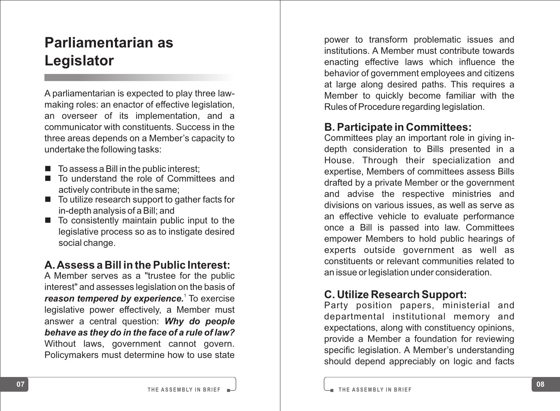## **Parliamentarian as Legislator**

A parliamentarian is expected to play three lawmaking roles: an enactor of effective legislation, an overseer of its implementation, and a communicator with constituents. Success in the three areas depends on a Member 's capacity to undertake the following tasks:

- To assess a Bill in the public interest;
- To understand the role of Committees and actively contribute in the same;
- To utilize research support to gather facts for in-depth analysis of a Bill; and
- To consistently maintain public input to the legislative process so as to instigate desired social change.

#### **A. Assess a Bill in the Public Interest:**

A Member serves as a "trustee for the public interest" and assesses legislation on the basis of 1 *reason tempered by experience.* To exercise legislative power effectively, a Member must answer a central question: *Why do people behave as they do in the face of a rule of law?* Without laws, government cannot govern. Policymakers must determine how to use state

power to transform problematic issues and institutions. A Member must contribute towards enacting effective laws which influence the behavior of government employees and citizens at large along desired paths. This requires a Member to quickly become familiar with the Rules of Procedure regarding legislation.

#### **B. Participate in Committees:**

Committees play an important role in giving indepth consideration to Bills presented in a House. Through their specialization and expertise, Members of committees assess Bills drafted by a private Member or the government and advise the respective ministries and divisions on various issues, as well as serve as an effective vehicle to evaluate performance once a Bill is passed into law. Committees empower Members to hold public hearings of experts outside government as well as constituents or relevant communities related to an issue or legislation under consideration.

#### **C. Utilize Research Support:**

Party position papers, ministerial and departmental institutional memory and expectations, along with constituency opinions, provide a Member a foundation for reviewing specific legislation. A Member 's understanding should depend appreciably on logic and facts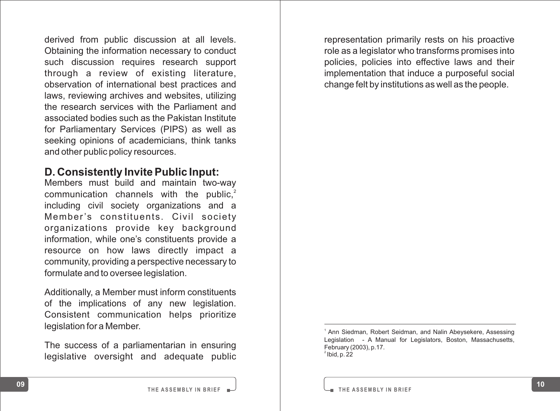derived from public discussion at all levels. Obtaining the information necessary to conduct such discussion requires research support through a review of existing literature, observation of international best practices and laws, reviewing archives and websites, utilizing the research services with the Parliament and associated bodies such as the Pakistan Institute for Parliamentary Services (PIPS) as well as seeking opinions of academicians, think tanks and other public policy resources.

#### **D. Consistently Invite Public Input:**

Members must build and maintain two-way communication channels with the public, $2$ including civil society organizations and a Member's constituents. Civil society organizations provide key background information, while one's constituents provide a resource on how laws directly impact a community, providing a perspective necessary to formulate and to oversee legislation.

Additionally, a Member must inform constituents of the implications of any new legislation. Consistent communication helps prioritize legislation for a Member.

The success of a parliamentarian in ensuring legislative oversight and adequate public representation primarily rests on his proactive role as a legislator who transforms promises into policies, policies into effective laws and their implementation that induce a purposeful social change felt by institutions as well as the people.

Ann Siedman, Robert Seidman, and Nalin Abeysekere, Assessing Legislation - A Manual for Legislators, Boston, Massachusetts, February (2003), p.17.  $2$  Ibid, p. 22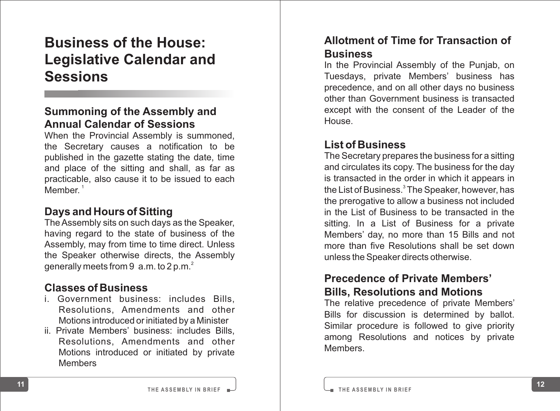## **Business of the House: Legislative Calendar and Sessions**

#### **Summoning of the Assembly and Annual Calendar of Sessions**

When the Provincial Assembly is summoned, the Secretary causes a notification to be published in the gazette stating the date, time and place of the sitting and shall, as far as practicable, also cause it to be issued to each  $M$ ember<sup>1</sup>

#### **Days and Hours of Sitting**

The Assembly sits on such days as the Speaker, having regard to the state of business of the Assembly, may from time to time direct. Unless the Speaker otherwise directs, the Assembly generally meets from  $9 \text{ a.m.}$  to  $2 \text{ p.m.}^2$ 

#### **Classes of Business**

- i. Government business: includes Bills, Resolutions, Amendments and other Motions introduced or initiated by a Minister<br>ii. Private Members' business: includes Bills.
- Resolutions. Amendments and other Motions introduced or initiated by private Members

#### **Allotment of Time for Transaction of Business**

In the Provincial Assembly of the Punjab, on Tuesdays, private Members' business has precedence, and on all other days no business other than Government business is transacted except with the consent of the Leader of the House.

#### **List of Business**

The Secretary prepares the business for a sitting and circulates its copy. The business for the day is transacted in the order in which it appears in the List of Business.<sup>3</sup> The Speaker, however, has the prerogative to allow a business not included in the List of Business to be transacted in the sitting. In a List of Business for a private Members' day, no more than 15 Bills and not more than five Resolutions shall be set down unless the Speaker directs otherwise.

#### **Precedence of Private Members' Bills, Resolutions and Motions**

The relative precedence of private Members' Bills for discussion is determined by ballot. Similar procedure is followed to give priority among Resolutions and notices by private Members.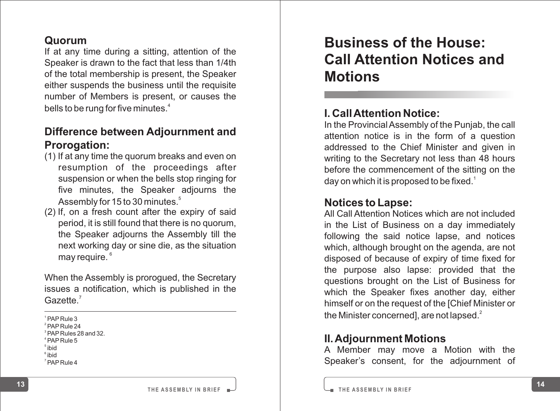#### **Quorum**

If at any time during a sitting, attention of the Speaker is drawn to the fact that less than 1/4th of the total membership is present, the Speaker either suspends the business until the requisite number of Members is present, or causes the bells to be rung for five minutes.<sup>4</sup>

## **Difference between Adjournment and Prorogation:**<br>(1) If at any time the guorum breaks and even on

- resumption of the proceedings after suspension or when the bells stop ringing for five minutes, the Speaker adjourns the Assembly for 15 to 30 minutes.<sup>5</sup>
- (2) If, on a fresh count after the expiry of said period, it is still found that there is no quorum, the Speaker adjourns the Assembly till the next working day or sine die, as the situation may require.<sup>6</sup>

When the Assembly is prorogued, the Secretary issues a notification, which is published in the Gazette.<sup>7</sup>

<sup>1</sup>PAP Rule 3

 $2$ PAP Rule 24

 $3PAP$  Rules 28 and 32.

 $4$  PAP Rule 5

5 ibid

6 ibid

7 PAP Rule 4

## **Business of the House: Call Attention Notices and Motions**

#### **I. Call Attention Notice:**

In the Provincial Assembly of the Punjab, the call attention notice is in the form of a question addressed to the Chief Minister and given in writing to the Secretary not less than 48 hours before the commencement of the sitting on the day on which it is proposed to be fixed.<sup>1</sup>

#### **Notices to Lapse:**

All Call Attention Notices which are not included in the List of Business on a day immediately following the said notice lapse, and notices which, although brought on the agenda, are not disposed of because of expiry of time fixed for the purpose also lapse: provided that the questions brought on the List of Business for which the Speaker fixes another day, either himself or on the request of the [Chief Minister or the Minister concerned], are not lapsed. $^2$ 

#### **II. Adjournment Motions**

A Member may move a Motion with the Speaker 's consent, for the adjournment of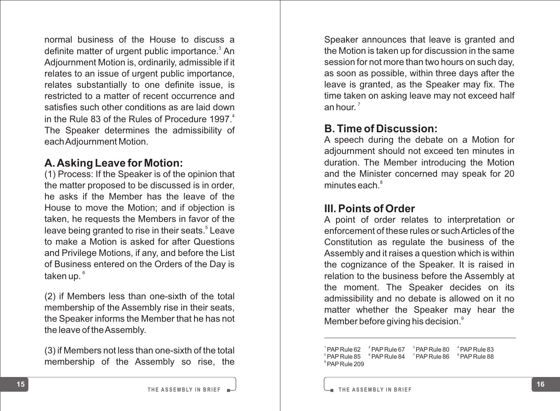normal business of the House to discuss a definite matter of urgent public importance.<sup>3</sup> An Adjournment Motion is, ordinarily, admissible if it relates to an issue of urgent public importance, relates substantially to one definite issue, is restricted to a matter of recent occurrence and satisfies such other conditions as are laid down in the Rule 83 of the Rules of Procedure 1997. $4$ The Speaker determines the admissibility of each Adjournment Motion.

#### **A. Asking Leave for Motion:**

(1) Process: If the Speaker is of the opinion that the matter proposed to be discussed is in order, he asks if the Member has the leave of the House to move the Motion; and if objection is taken, he requests the Members in favor of the leave being granted to rise in their seats.<sup>5</sup> Leave to make a Motion is asked for after Questions and Privilege Motions, if any, and before the List of Business entered on the Orders of the Day is taken up.  $^{\circ}$ 

(2) if Members less than one-sixth of the total membership of the Assembly rise in their seats, the Speaker informs the Member that he has not the leave of the Assembly.

(3) if Members not less than one-sixth of the total membership of the Assembly so rise, the

Speaker announces that leave is granted and the Motion is taken up for discussion in the same session for not more than two hours on such day, as soon as possible, within three days after the leave is granted, as the Speaker may fix. The time taken on asking leave may not exceed half an hour. $^7$ 

#### **B. Time of Discussion:**

A speech during the debate on a Motion for adjournment should not exceed ten minutes in duration. The Member introducing the Motion and the Minister concerned may speak for 20 minutes each.<sup>8</sup>

#### **III. Points of Order**

A point of order relates to interpretation or enforcement of these rules or such Articles of the Constitution as regulate the business of the Assembly and it raises a question which is within the cognizance of the Speaker. It is raised in relation to the business before the Assembly at the moment. The Speaker decides on its admissibility and no debate is allowed on it no matter whether the Speaker may hear the Member before giving his decision.<sup>9</sup>

 $PAP$  Rule 62  $P^2$  PAP Rule 67  $P^3$  PAP Rule 80  $P^4$  PAP Rule 83 <sup>5</sup> <sup>6</sup> <sup>7</sup> <sup>8</sup> PAP Rule 85 PAP Rule 84 PAP Rule 86 PAP Rule 88 <sup>9</sup>PAP Rule 209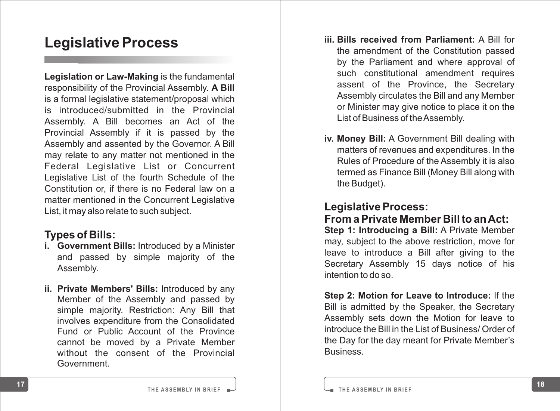## **Legislative Process**

**Legislation or Law-Making** is the fundamental responsibility of the Provincial Assembly. **A Bill** is a formal legislative statement/proposal which is introduced/submitted in the Provincial Assembly. A Bill becomes an Act of the Provincial Assembly if it is passed by the Assembly and assented by the Governor. A Bill may relate to any matter not mentioned in the Federal Legislative List or Concurrent Legislative List of the fourth Schedule of the Constitution or, if there is no Federal law on a matter mentioned in the Concurrent Legislative List, it may also relate to such subject.

#### **Types of Bills:**

- **i. Government Bills:** Introduced by a Minister and passed by simple majority of the Assembly .
- **ii. Private Members' Bills:** Introduced by any Member of the Assembly and passed by simple majority. Restriction: Any Bill that involves expenditure from the Consolidated Fund or Public Account of the Province cannot be moved by a Private Member without the consent of the Provincial Government.
- **iii. Bills received from Parliament:** A Bill for the amendment of the Constitution passed by the Parliament and where approval of such constitutional amendment requires assent of the Province, the Secretary Assembly circulates the Bill and any Member or Minister may give notice to place it on the List of Business of the Assembly.
- **iv. Money Bill:** A Government Bill dealing with matters of revenues and expenditures. In the Rules of Procedure of the Assembly it is also termed as Finance Bill (Money Bill along with the Budget).

#### **Legislative Process:**

**From a Private Member Bill to an Act:**

**Step 1: Introducing a Bill:** A Private Member may, subject to the above restriction, move for leave to introduce a Bill after giving to the Secretary Assembly 15 days notice of his intention to do so.

**Step 2: Motion for Leave to Introduce:** If the Bill is admitted by the Speaker, the Secretary Assembly sets down the Motion for leave to introduce the Bill in the List of Business/ Order of the Day for the day meant for Private Member 's Business.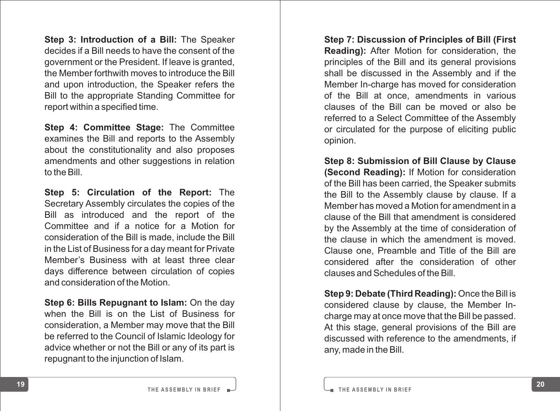**Step 3: Introduction of a Bill:** The Speaker decides if a Bill needs to have the consent of the government or the President. If leave is granted, the Member forthwith moves to introduce the Bill and upon introduction, the Speaker refers the Bill to the appropriate Standing Committee for report within a specified time.

**Step 4: Committee Stage:** The Committee examines the Bill and reports to the Assembly about the constitutionality and also proposes amendments and other suggestions in relation to the Bill.

**Step 5: Circulation of the Report:** The Secretary Assembly circulates the copies of the Bill as introduced and the report of the Committee and if a notice for a Motion for consideration of the Bill is made, include the Bill in the List of Business for a day meant for Private Member 's Business with at least three clear days difference between circulation of copies and consideration of the Motion.

**Step 6: Bills Repugnant to Islam:** On the day when the Bill is on the List of Business for consideration, a Member may move that the Bill be referred to the Council of Islamic Ideology for advice whether or not the Bill or any of its part is repugnant to the injunction of Islam.

**Step 7: Discussion of Principles of Bill (First Reading):** After Motion for consideration, the principles of the Bill and its general provisions shall be discussed in the Assembly and if the Member In-charge has moved for consideration of the Bill at once, amendments in various clauses of the Bill can be moved or also be referred to a Select Committee of the Assembly or circulated for the purpose of eliciting public opinion.

**Step 8: Submission of Bill Clause by Clause (Second Reading):** If Motion for consideration of the Bill has been carried, the Speaker submits the Bill to the Assembly clause by clause. If a Member has moved a Motion for amendment in a clause of the Bill that amendment is considered by the Assembly at the time of consideration of the clause in which the amendment is moved. Clause one, Preamble and Title of the Bill are considered after the consideration of other clauses and Schedules of the Bill.

**Step 9: Debate (Third Reading):** Once the Bill is considered clause by clause, the Member Incharge may at once move that the Bill be passed. At this stage, general provisions of the Bill are discussed with reference to the amendments, if any, made in the Bill.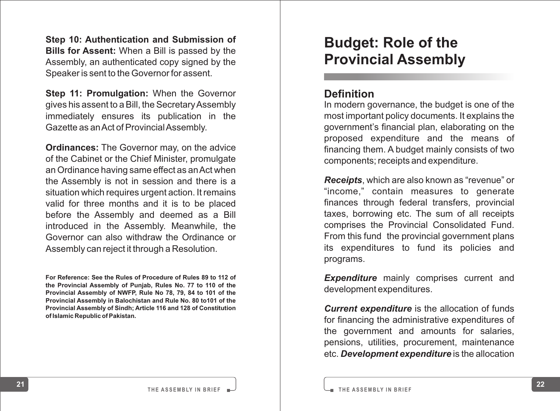**Step 10: Authentication and Submission of Bills for Assent:** When a Bill is passed by the Assembly, an authenticated copy signed by the Speaker is sent to the Governor for assent.

**Step 11: Promulgation:** When the Governor gives his assent to a Bill, the Secretary Assembly immediately ensures its publication in the Gazette as an Act of Provincial Assembly .

**Ordinances:** The Governor may, on the advice of the Cabinet or the Chief Minister, promulgate an Ordinance having same effect as an Act when the Assembly is not in session and there is a situation which requires urgent action. It remains valid for three months and it is to be placed before the Assembly and deemed as a Bill introduced in the Assembly. Meanwhile, the Governor can also withdraw the Ordinance or Assembly can reject it through a Resolution.

**For Reference: See the Rules of Procedure of Rules 89 to 112 of the Provincial Assembly of Punjab, Rules No. 77 to 110 of the Provincial Assembly of NWFP, Rule No 78, 79, 84 to 101 of the Provincial Assembly in Balochistan and Rule No. 80 to101 of the Provincial Assembly of Sindh; Article 116 and 128 of Constitution of Islamic Republic of Pakistan.**

## **Budget: Role of the Provincial Assembly**

#### **Definition**

In modern governance, the budget is one of the most important policy documents. It explains the government's financial plan, elaborating on the proposed expenditure and the means of financing them. A budget mainly consists of two components; receipts and expenditure.

*Receipts*, which are also known as "revenue" or "income," contain measures to generate finances through federal transfers, provincial taxes, borrowing etc. The sum of all receipts comprises the Provincial Consolidated Fund. From this fund the provincial government plans its expenditures to fund its policies and programs.

**Expenditure** mainly comprises current and development expenditures.

*Current expenditure* is the allocation of funds for financing the administrative expenditures of the government and amounts for salaries, pensions, utilities, procurement, maintenance etc. *Development expenditure* is the allocation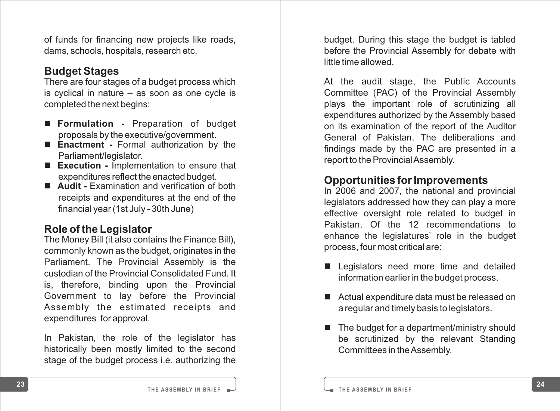of funds for financing new projects like roads, dams, schools, hospitals, research etc.

#### **Budget Stages**

There are four stages of a budget process which is cyclical in nature – as soon as one cycle is completed the next begins:

- **Formulation Preparation of budget** proposals by the executive/government.
- **Enactment Formal authorization by the** Parliament/legislator .
- **Execution Implementation to ensure that** expenditures reflect the enacted budget.
- Audit Examination and verification of both receipts and expenditures at the end of the financial year (1st July - 30th June)

#### **Role of the Legislator**

The Money Bill (it also contains the Finance Bill), commonly known as the budget, originates in the Parliament. The Provincial Assembly is the custodian of the Provincial Consolidated Fund. It is, therefore, binding upon the Provincial Government to lay before the Provincial Assembly the estimated receipts and expenditures for approval.

In Pakistan, the role of the legislator has historically been mostly limited to the second stage of the budget process i.e. authorizing the budget. During this stage the budget is tabled before the Provincial Assembly for debate with little time allowed.

At the audit stage, the Public Accounts Committee (PAC) of the Provincial Assembly plays the important role of scrutinizing all expenditures authorized by the Assembly based on its examination of the report of the Auditor General of Pakistan. The deliberations and findings made by the PAC are presented in a report to the Provincial Assembly.

#### **Opportunities for Improvements**

In 2006 and 2007, the national and provincial legislators addressed how they can play a more effective oversight role related to budget in Pakistan. Of the <sup>12</sup> recommendations to enhance the legislatures' role in the budget process, four most critical are:

- **n** Legislators need more time and detailed information earlier in the budget process.
- Actual expenditure data must be released on a regular and timely basis to legislators.
- The budget for a department/ministry should be scrutinized by the relevant Standing Committees in the Assembly.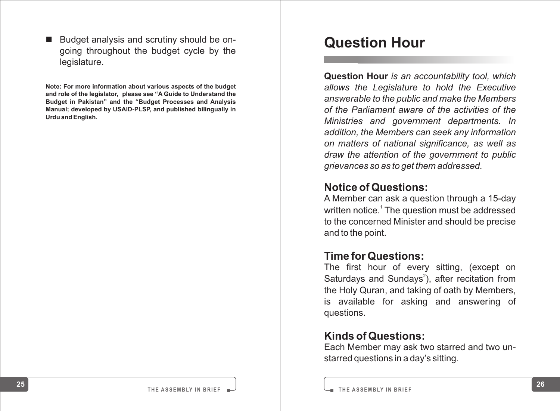Budget analysis and scrutiny should be ongoing throughout the budget cycle by the legislature.

**Note: For more information about various aspects of the budget and role of the legislator, please see "A Guide to Understand the Budget in Pakistan" and the "Budget Processes and Analysis Manual; developed by USAID-PLSP, and published bilingually in Urdu and English.**

## **Question Hour**

**Question Hour** *is an accountability tool, which allows the Legislature to hold the Executive answerable to the public and make the Members of the Parliament aware of the activities of the Ministries and government departments. In addition, the Members can seek any information on matters of national significance, as well as draw the attention of the government to public grievances so as to get them addressed.*

#### **Notice of Questions:**

A Member can ask a question through a 15-day written notice.<sup>1</sup> The question must be addressed to the concerned Minister and should be precise and to the point.

#### **Time for Questions:**

The first hour of every sitting, (except on Saturdays and Sundays<sup>2</sup>), after recitation from the Holy Quran, and taking of oath by Members, is available for asking and answering of questions.

#### **Kinds of Questions:**

Each Member may ask two starred and two unstarred questions in a day's sitting.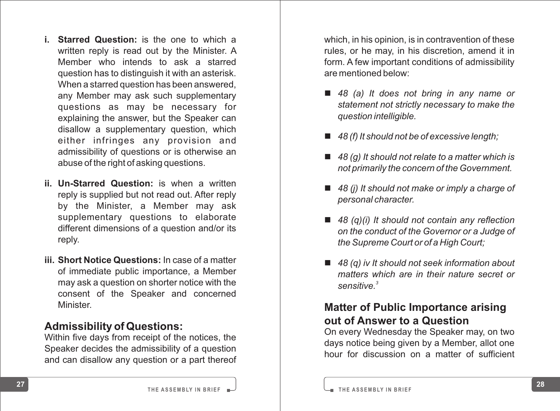- **i. Starred Question:** is the one to which a written reply is read out by the Minister. A Member who intends to ask a starred question has to distinguish it with an asterisk. When a starred question has been answered, any Member may ask such supplementary questions as may be necessary for explaining the answer, but the Speaker can disallow a supplementary question, which either infringes any provision and admissibility of questions or is otherwise an abuse of the right of asking questions.
- **ii. Un-Starred Question:** is when a written reply is supplied but not read out. After reply by the Minister, <sup>a</sup> Member may ask supplementary questions to elaborate different dimensions of a question and/or its reply .
- **iii. Short Notice Questions:** In case of a matter of immediate public importance, a Member may ask a question on shorter notice with the consent of the Speaker and concerned Minister .

#### **Admissibility of Questions:**

Within five days from receipt of the notices, the Speaker decides the admissibility of a question and can disallow any question or a part thereof which, in his opinion, is in contravention of these rules, or he may, in his discretion, amend it in form. A few important conditions of admissibility are mentioned below:

- 48 (a) It does not bring in any name or *statement not strictly necessary to make the question intelligible.*
- 48 (f) It should not be of excessive length;
- 48 (g) It should not relate to a matter which is *not primarily the concern of the Government.*
- 48 (j) It should not make or imply a charge of *personal character.*
- 48 (q)(i) It should not contain any reflection *on the conduct of the Governor or a Judge of the Supreme Court or of a High Court;*
- 48 (q) iv It should not seek information about *matters which are in their nature secret or 3 sensitive.*

#### **Matter of Public Importance arising out of Answer to a Question**

On every Wednesday the Speaker may, on two days notice being given by a Member, allot one hour for discussion on a matter of sufficient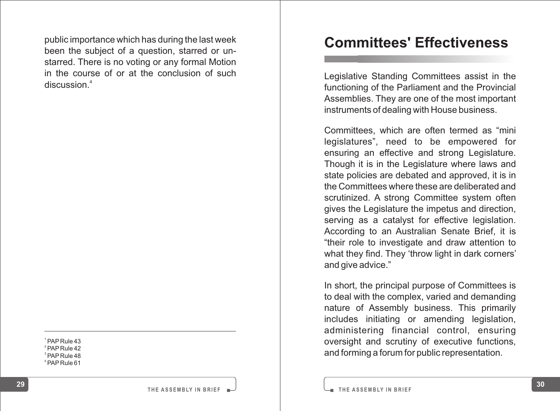public importance which has during the last week been the subject of a question, starred or unstarred. There is no voting or any formal Motion in the course of or at the conclusion of such discussion.<sup>4</sup>

PAP Rule 43  $2^2$  PAP Rule 42 PAP Rule 48 PAP Rule 61

## **Committees' Effectiveness**

Legislative Standing Committees assist in the functioning of the Parliament and the Provincial Assemblies. They are one of the most important instruments of dealing with House business.

Committees, which are often termed as "mini legislatures", need to be empowered for ensuring an effective and strong Legislature. Though it is in the Legislature where laws and state policies are debated and approved, it is in the Committees where these are deliberated and scrutinized. A strong Committee system often gives the Legislature the impetus and direction, serving as a catalyst for effective legislation. According to an Australian Senate Brief, it is "their role to investigate and draw attention to what they find. They 'throw light in dark corners' and give advice."

In short, the principal purpose of Committees is to deal with the complex, varied and demanding nature of Assembly business. This primarily includes initiating or amending legislation, administering financial control, ensuring oversight and scrutiny of executive functions, and forming a forum for public representation.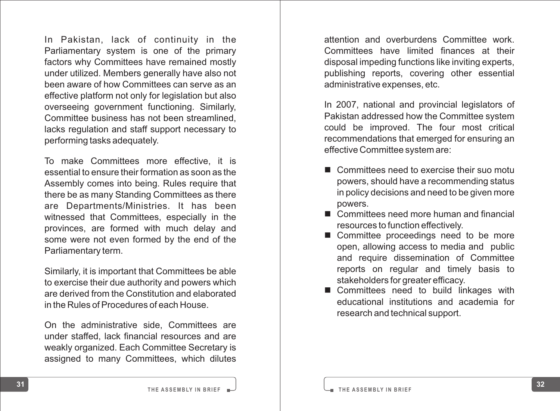In Pakistan, lack of continuity in the primary and overtured sometimities work, Consider the primary and the primary and the primary committees have functions why committees and factors why Consider unity and the continuit Parliamentary system is one of the primary factors why Committees have remained mostly under utilized. Members generally have also not been aware of how Committees can serve as an effective platform not only for legislation but also overseeing government functioning. Similarly, Committee business has not been streamlined, lacks regulation and staff support necessary to performing tasks adequately .

To make Committees more effective, it is essential to ensure their formation as soon as the Assembly comes into being. Rules require that there be as many Standing Committees as there are Departments/Ministries. It has been witnessed that Committees, especially in the provinces, are formed with much delay and some were not even formed by the end of the Parliamentary term.

Similarly, it is important that Committees be able to exercise their due authority and powers which are derived from the Constitution and elaborated in the Rules of Procedures of each House.

On the administrative side, Committees are under staffed, lack financial resources and are weakly organized. Each Committee Secretary is assigned to many Committees, which dilutes attention and overburdens Committee work. Committees have limited finances at their disposal impeding functions like inviting experts, publishing reports, covering other essential administrative expenses, etc.

In 2007, national and provincial legislators of Pakistan addressed how the Committee system could be improved. The four most critical recommendations that emerged for ensuring an effective Committee system are:

- Committees need to exercise their suo motu powers, should have a recommending status in policy decisions and need to be given more powers.
- Committees need more human and financial resources to function effectively.
- Committee proceedings need to be more open, allowing access to media and public and require dissemination of Committee reports on regular and timely basis to stakeholders for greater efficacy.
- Committees need to build linkages with educational institutions and academia for research and technical support.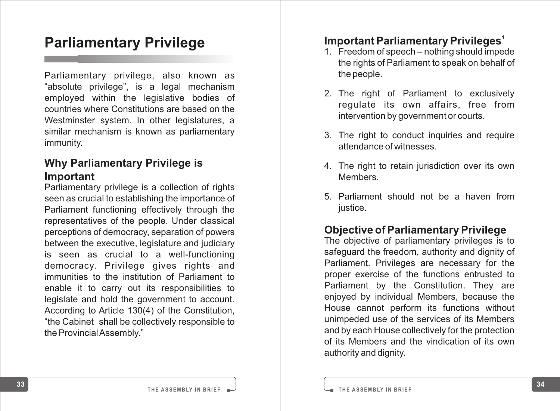## **Parliamentary Privilege**

Parliamentary privilege, also known as "absolute privilege", is a legal mechanism employed within the legislative bodies of countries where Constitutions are based on the Westminster system. In other legislatures, a similar mechanism is known as parliamentary immunity .

#### **Why Parliamentary Privilege is Important**

**<sup>33</sup> <sup>34</sup> <sup>1</sup>** Parliamentary privilege is a collection of rights seen as crucial to establishing the importance of Parliament functioning effectively through the representatives of the people. Under classical perceptions of democracy, separation of powers between the executive, legislature and judiciary is seen as crucial to <sup>a</sup> well-functioning democracy. Privilege gives rights and immunities to the institution of Parliament to enable it to carry out its responsibilities to legislate and hold the government to account. According to Article 130(4) of the Constitution, "the Cabinet shall be collectively responsible to the Provincial Assembly."

#### **Important Parliamentary Privileges**

- 1. Freedom of speech nothing should impede the rights of Parliament to speak on behalf of the people.
- 2. The right of Parliament to exclusively regulate its own affairs, free from intervention by government or courts.
- 3. The right to conduct inquiries and require attendance of witnesses.
- 4. The right to retain jurisdiction over its own Members.
- 5. Parliament should not be a haven from justice.

#### **Objective of Parliamentary Privilege**

The objective of parliamentary privileges is to safeguard the freedom, authority and dignity of Parliament. Privileges are necessary for the proper exercise of the functions entrusted to Parliament by the Constitution. They are enjoyed by individual Members, because the House cannot perform its functions without unimpeded use of the services of its Members and by each House collectively for the protection of its Members and the vindication of its own authority and dignity.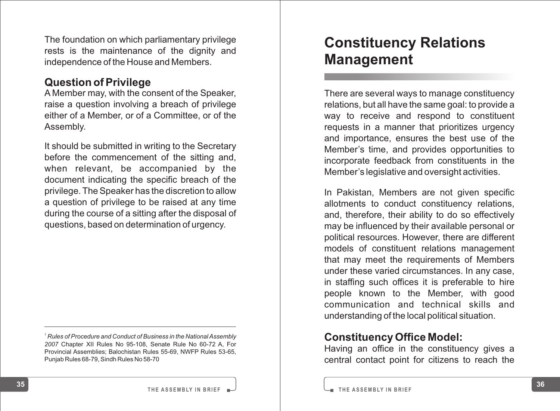The foundation on which parliamentary privilege rests is the maintenance of the dignity and independence of the House and Members.

#### **Question of Privilege**

A Member may, with the consent of the Speaker, raise a question involving a breach of privilege either of a Member, or of a Committee, or of the Assembly .

It should be submitted in writing to the Secretary before the commencement of the sitting and, when relevant, be accompanied by the document indicating the specific breach of the privilege. The Speaker has the discretion to allow a question of privilege to be raised at any time during the course of a sitting after the disposal of questions, based on determination of urgency .

## **Constituency Relations Management**

There are several ways to manage constituency relations, but all have the same goal: to provide a way to receive and respond to constituent requests in a manner that prioritizes urgency and importance, ensures the best use of the Member 's time, and provides opportunities to incorporate feedback from constituents in the Member 's legislative and oversight activities.

In Pakistan, Members are not given specific allotments to conduct constituency relations, and, therefore, their ability to do so effectively may be influenced by their available personal or political resources. However, there are different models of constituent relations management that may meet the requirements of Members under these varied circumstances. In any case, in staffing such offices it is preferable to hire people known to the Member, with good communication and technical skills and understanding of the local political situation.

#### **Constituency Office Model:**

Having an office in the constituency gives a central contact point for citizens to reach the

<sup>1</sup> *Rules of Procedure and Conduct of Business in the National Assembly 2007* Chapter XII Rules No 95-108, Senate Rule No 60-72 A, For Provincial Assemblies; Balochistan Rules 55-69, NWFP Rules 53-65, Punjab Rules 68-79, Sindh Rules No 58-70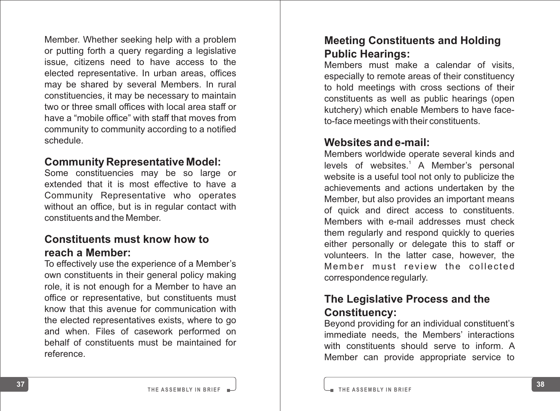Member. Whether seeking help with a problem or putting forth a query regarding a legislative issue, citizens need to have access to the elected representative. In urban areas, offices may be shared by several Members. In rural constituencies, it may be necessary to maintain two or three small offices with local area staff or have a "mobile office" with staff that moves from community to community according to a notified schedule.

#### **Community Representative Model:**

Some constituencies may be so large or extended that it is most effective to have a Community Representative who operates without an office, but is in regular contact with constituents and the Member .

#### **Constituents must know how to reach a Member:**

To effectively use the experience of a Member 's own constituents in their general policy making role, it is not enough for a Member to have an office or representative, but constituents must know that this avenue for communication with the elected representatives exists, where to go and when. Files of casework performed on behalf of constituents must be maintained for reference.

#### **Meeting Constituents and Holding Public Hearings:**

Members must make a calendar of visits, especially to remote areas of their constituency to hold meetings with cross sections of their constituents as well as public hearings (open kutchery) which enable Members to have faceto-face meetings with their constituents.

#### **Websites and e-mail:**

Members worldwide operate several kinds and levels of websites.<sup>1</sup> A Member's personal website is a useful tool not only to publicize the achievements and actions undertaken by the Member, but also provides an important means of quick and direct access to constituents. Members with e-mail addresses must check them regularly and respond quickly to queries either personally or delegate this to staff or volunteers. In the latter case, however, the Member must review the collected correspondence regularly.

#### **The Legislative Process and the Constituency:**

Beyond providing for an individual constituent's immediate needs, the Members' interactions with constituents should serve to inform. A Member can provide appropriate service to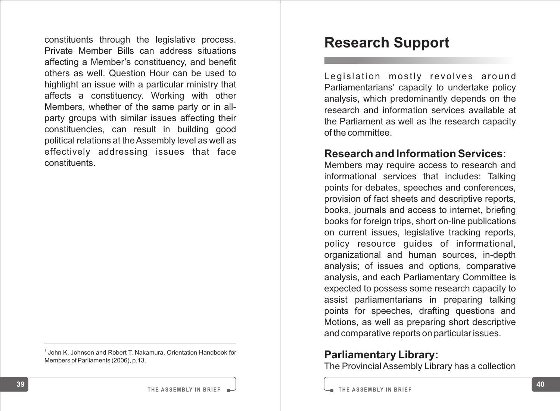constituents through the legislative process. Private Member Bills can address situations affecting a Member 's constituency, and benefit others as well. Question Hour can be used to highlight an issue with a particular ministry that affects a constituency. Working with other Members, whether of the same party or in allparty groups with similar issues affecting their constituencies, can result in building good political relations at the Assembly level as well as effectively addressing issues that face constituents.

<sup>1</sup> John K. Johnson and Robert T. Nakamura, Orientation Handbook for Members of Parliaments (2006), p.13.

## **Research Support**

Legislation mostly revolves around Parliamentarians' capacity to undertake policy analysis, which predominantly depends on the research and information services available at the Parliament as well as the research capacity of the committee.

#### **Research and Information Services:**

Members may require access to research and informational services that includes: Talking points for debates, speeches and conferences, provision of fact sheets and descriptive reports, books, journals and access to internet, briefing books for foreign trips, short on-line publications on current issues, legislative tracking reports, policy resource guides of informational, organizational and human sources, in-depth analysis; of issues and options, comparative analysis, and each Parliamentary Committee is expected to possess some research capacity to assist parliamentarians in preparing talking points for speeches, drafting questions and Motions, as well as preparing short descriptive and comparative reports on particular issues.

#### **Parliamentary Library:**

The Provincial Assembly Library has a collection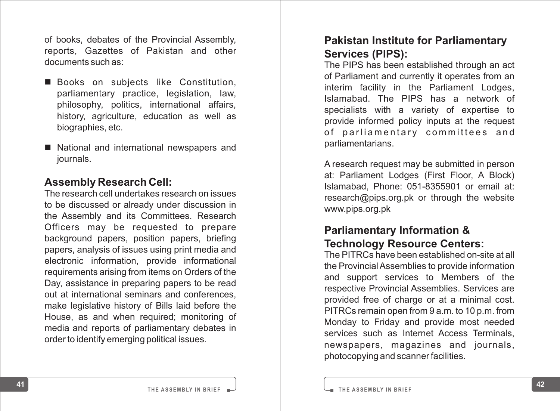of books, debates of the Provincial Assembly, reports, Gazettes of Pakistan and other documents such as:

- Books on subjects like Constitution, parliamentary practice, legislation, law, philosophy, politics, international affairs, history, agriculture, education as well as biographies, etc.
- National and international newspapers and journals.

#### **Assembly Research Cell:**

The research cell undertakes research on issues to be discussed or already under discussion in the Assembly and its Committees. Research Officers may be requested to prepare background papers, position papers, briefing papers, analysis of issues using print media and electronic information, provide informational requirements arising from items on Orders of the Day, assistance in preparing papers to be read out at international seminars and conferences, make legislative history of Bills laid before the House, as and when required; monitoring of media and reports of parliamentary debates in order to identify emerging political issues.

#### **Pakistan Institute for Parliamentary Services (PIPS):**

The PIPS has been established through an act of Parliament and currently it operates from an interim facility in the Parliament Lodges, Islamabad. The PIPS has <sup>a</sup> network of specialists with a variety of expertise to provide informed policy inputs at the request of parliamentary committees and parliamentarians.

A research request may be submitted in person at: Parliament Lodges (First Floor, A Block) Islamabad, Phone: 051-8355901 or email at: research@pips.org.pk or through the website www.pips.org.pk

## **Parliamentary Information & Technology Resource Centers:**

The PITRCs have been established on-site at all the Provincial Assemblies to provide information and support services to Members of the respective Provincial Assemblies. Services are provided free of charge or at a minimal cost. PITRCs remain open from 9 a.m. to 10 p.m. from Monday to Friday and provide most needed services such as Internet Access Terminals, newspapers, magazines and journals, photocopying and scanner facilities.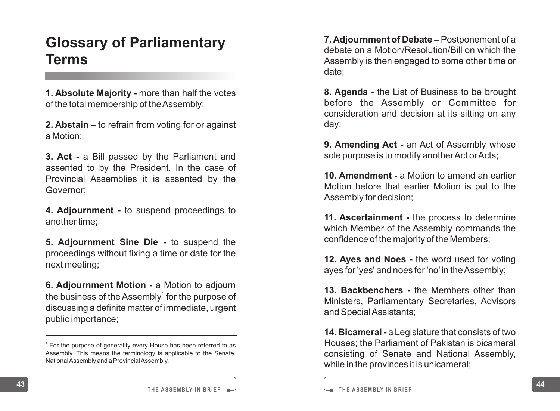# **Glossary of Parliamentary Terms**

**1. Absolute Majority -** more than half the votes of the total membership of the Assembly;

**2. Abstain –** to refrain from voting for or against a Motion;

**3. Act -** a Bill passed by the Parliament and assented to by the President. In the case of Provincial Assemblies it is assented by the Governor;

**4. Adjournment -** to suspend proceedings to another time;

**5. Adjournment Sine Die -** to suspend the proceedings without fixing a time or date for the next meeting;

**6. Adjournment Motion -** a Motion to adjourn the business of the Assembly<sup>1</sup> for the purpose of discussing a definite matter of immediate, urgent public importance;

**7. Adjournment of Debate –** Postponement of a debate on a Motion/Resolution/Bill on which the Assembly is then engaged to some other time or date;

**8. Agenda -** the List of Business to be brought before the Assembly or Committee for consideration and decision at its sitting on any day;

**9. Amending Act -** an Act of Assembly whose sole purpose is to modify another Act or Acts;

**10. Amendment -** a Motion to amend an earlier Motion before that earlier Motion is put to the Assembly for decision;

**11. Ascertainment -** the process to determine which Member of the Assembly commands the confidence of the majority of the Members;

**12. Ayes and Noes -** the word used for voting ayes for 'yes' and noes for 'no' in the Assembly;

**13. Backbenchers -** the Members other than Ministers, Parliamentary Secretaries, Advisors and Special Assistants;

**14. Bicameral -** a Legislature that consists of two Houses; the Parliament of Pakistan is bicameral consisting of Senate and National Assembly, while in the provinces it is unicameral;

**43 44 T HE A S S E M B LY IN B R I E F**

<sup>&</sup>lt;sup>1</sup> For the purpose of generality every House has been referred to as Assembly. This means the terminology is applicable to the Senate, National Assembly and a Provincial Assembly.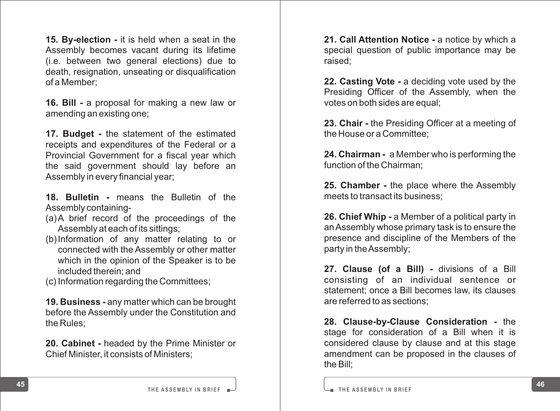**15. By-election -** it is held when a seat in the Assembly becomes vacant during its lifetime (i.e. between two general elections) due to death, resignation, unseating or disqualification of a Member;

**16. Bill -** a proposal for making a new law or amending an existing one;

**17. Budget -** the statement of the estimated receipts and expenditures of the Federal or a Provincial Government for a fiscal year which the said government should lay before an Assembly in every financial year;

**18. Bulletin -** means the Bulletin of the Assembly containing-

- (a) A brief record of the proceedings of the Assembly at each of its sittings;
- (b)Information of any matter relating to or connected with the Assembly or other matter which in the opinion of the Speaker is to be included therein; and
- (c) Information regarding the Committees;

**19. Business -** any matter which can be brought before the Assembly under the Constitution and the Rules;

**20. Cabinet -** headed by the Prime Minister or Chief Minister, it consists of Ministers;

**21. Call Attention Notice -** a notice by which a special question of public importance may be raised;

**22. Casting Vote -** a deciding vote used by the Presiding Officer of the Assembly, when the votes on both sides are equal;

**23. Chair -** the Presiding Officer at a meeting of the House or a Committee;

**24. Chairman -** a Member who is performing the function of the Chairman;

**25. Chamber -** the place where the Assembly meets to transact its business;

**26. Chief Whip -** a Member of a political party in an Assembly whose primary task is to ensure the presence and discipline of the Members of the party in the Assembly;

**27. Clause (of a Bill) -** divisions of a Bill consisting of an individual sentence or statement; once a Bill becomes law, its clauses are referred to as sections;

**28. Clause-by-Clause Consideration -** the stage for consideration of a Bill when it is considered clause by clause and at this stage amendment can be proposed in the clauses of the Bill;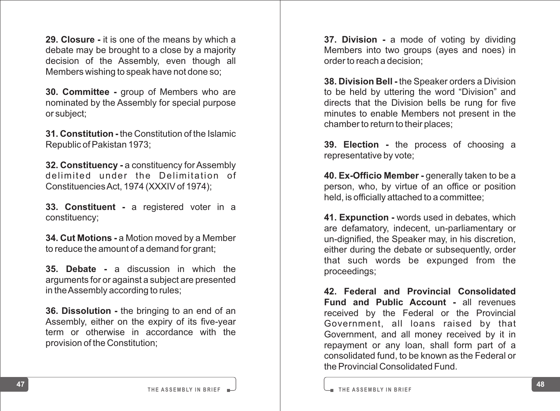**29. Closure -** it is one of the means by which a debate may be brought to a close by a majority decision of the Assembly, even though all Members wishing to speak have not done so;

**30. Committee -** group of Members who are nominated by the Assembly for special purpose or subject;

**31. Constitution -** the Constitution of the Islamic Republic of Pakistan 1973;

**32. Constituency -** a constituency for Assembly delimited under the Delimitation of Constituencies Act, 1974 (XXXIV of 1974);

**33. Constituent -** a registered voter in a constituency;

**34. Cut Motions -** a Motion moved by a Member to reduce the amount of a demand for grant;

**35. Debate -** a discussion in which the arguments for or against a subject are presented in the Assembly according to rules;

**36. Dissolution -** the bringing to an end of an Assembly, either on the expiry of its five-year term or otherwise in accordance with the provision of the Constitution;

**37. Division -** a mode of voting by dividing Members into two groups (ayes and noes) in order to reach a decision;

**38. Division Bell -** the Speaker orders a Division to be held by uttering the word "Division" and directs that the Division bells be rung for five minutes to enable Members not present in the chamber to return to their places;

**39. Election -** the process of choosing a representative by vote;

**40. Ex-Officio Member -** generally taken to be a person, who, by virtue of an office or position held, is officially attached to a committee;

**41. Expunction -** words used in debates, which are defamatory, indecent, un-parliamentary or un-dignified, the Speaker may, in his discretion, either during the debate or subsequently, order that such words be expunged from the proceedings;

**42. Federal and Provincial Consolidated Fund and Public Account -** all revenues received by the Federal or the Provincial Government, all loans raised by that Government, and all money received by it in repayment or any loan, shall form part of a consolidated fund, to be known as the Federal or the Provincial Consolidated Fund.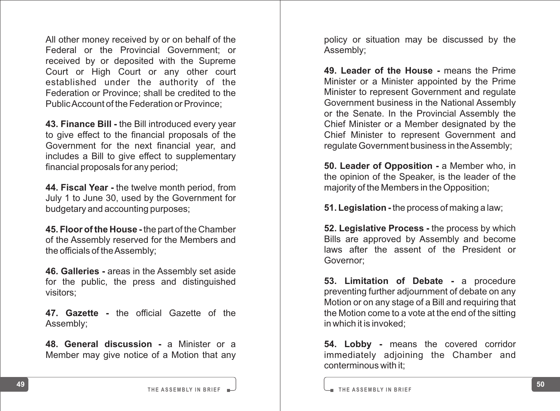All other money received by or on behalf of the Federal or the Provincial Government; or received by or deposited with the Supreme Court or High Court or any other court established under the authority of the Federation or Province; shall be credited to the Public Account of the Federation or Province;

**43. Finance Bill -** the Bill introduced every year to give effect to the financial proposals of the Government for the next financial year, and includes a Bill to give effect to supplementary financial proposals for any period;

**44. Fiscal Year -** the twelve month period, from July 1 to June 30, used by the Government for budgetary and accounting purposes;

**45. Floor of the House -** the part of the Chamber of the Assembly reserved for the Members and the officials of the Assembly;

**46. Galleries -** areas in the Assembly set aside for the public, the press and distinguished visitors;

**47. Gazette -** the official Gazette of the Assembly;

**48. General discussion -** a Minister or a Member may give notice of a Motion that any

policy or situation may be discussed by the Assembly;

**49. Leader of the House -** means the Prime Minister or a Minister appointed by the Prime Minister to represent Government and regulate Government business in the National Assembly or the Senate. In the Provincial Assembly the Chief Minister or a Member designated by the Chief Minister to represent Government and regulate Government business in the Assembly;

**50. Leader of Opposition -** a Member who, in the opinion of the Speaker, is the leader of the majority of the Members in the Opposition;

**51. Legislation -** the process of making a law;

**52. Legislative Process - the process by which** Bills are approved by Assembly and become laws after the assent of the President or Governor;

**53. Limitation of Debate -** a procedure preventing further adjournment of debate on any Motion or on any stage of a Bill and requiring that the Motion come to a vote at the end of the sitting in which it is invoked;

**54. Lobby -** means the covered corridor immediately adjoining the Chamber and conterminous with it;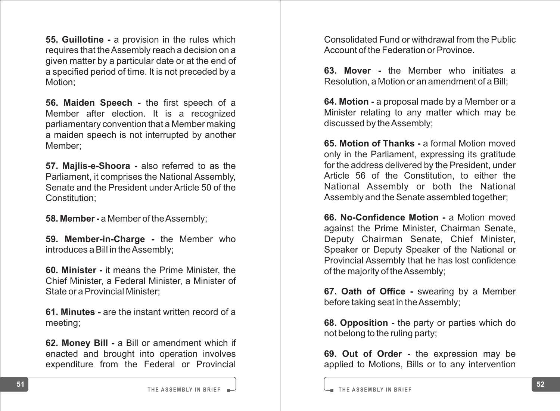**55. Guillotine -** a provision in the rules which requires that the Assembly reach a decision on a given matter by a particular date or at the end of a specified period of time. It is not preceded by a Motion;

**56. Maiden Speech -** the first speech of a Member after election. It is a recognized parliamentary convention that a Member making a maiden speech is not interrupted by another Member;

**57. Majlis-e-Shoora -** also referred to as the Parliament, it comprises the National Assembly, Senate and the President under Article 50 of the Constitution;

**58. Member -** a Member of the Assembly;

**59. Member-in-Charge -** the Member who introduces a Bill in the Assembly;

**60. Minister -** it means the Prime Minister, the Chief Minister, a Federal Minister, a Minister of State or a Provincial Minister;

**61. Minutes -** are the instant written record of a meeting;

**62. Money Bill -** a Bill or amendment which if enacted and brought into operation involves expenditure from the Federal or Provincial

Consolidated Fund or withdrawal from the Public Account of the Federation or Province.

**63. Mover -** the Member who initiates a Resolution, a Motion or an amendment of a Bill;

**64. Motion -** a proposal made by a Member or a Minister relating to any matter which may be discussed by the Assembly;

**65. Motion of Thanks -** a formal Motion moved only in the Parliament, expressing its gratitude for the address delivered by the President, under Article 56 of the Constitution, to either the National Assembly or both the National Assembly and the Senate assembled together;

**66. No-Confidence Motion -** a Motion moved against the Prime Minister, Chairman Senate, Deputy Chairman Senate, Chief Minister, Speaker or Deputy Speaker of the National or Provincial Assembly that he has lost confidence of the majority of the Assembly;

**67. Oath of Office -** swearing by a Member before taking seat in the Assembly;

**68. Opposition -** the party or parties which do not belong to the ruling party;

**69. Out of Order -** the expression may be applied to Motions, Bills or to any intervention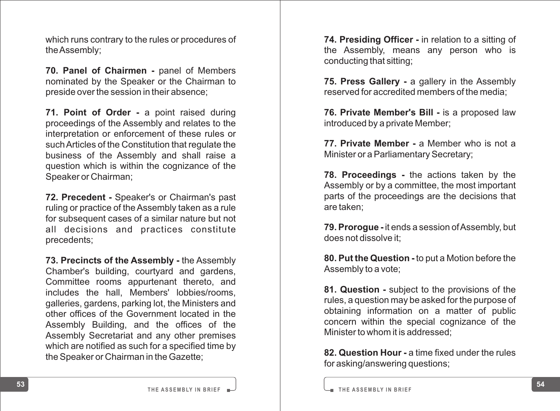which runs contrary to the rules or procedures of the Assembly;

**70. Panel of Chairmen -** panel of Members nominated by the Speaker or the Chairman to preside over the session in their absence;

**71. Point of Order -** a point raised during proceedings of the Assembly and relates to the interpretation or enforcement of these rules or such Articles of the Constitution that regulate the business of the Assembly and shall raise a question which is within the cognizance of the Speaker or Chairman;

**72. Precedent -** Speaker's or Chairman's past ruling or practice of the Assembly taken as a rule for subsequent cases of a similar nature but not all decisions and practices constitute precedents;

**73. Precincts of the Assembly -** the Assembly Chamber's building, courtyard and gardens, Committee rooms appurtenant thereto, and includes the hall, Members' lobbies/rooms, galleries, gardens, parking lot, the Ministers and other offices of the Government located in the Assembly Building, and the offices of the Assembly Secretariat and any other premises which are notified as such for a specified time by the Speaker or Chairman in the Gazette;

**74. Presiding Officer -** in relation to a sitting of the Assembly, means any person who is conducting that sitting;

**75. Press Gallery -** a gallery in the Assembly reserved for accredited members of the media;

**76. Private Member's Bill -** is a proposed law introduced by a private Member;

**77. Private Member - a Member who is not a** Minister or a Parliamentary Secretary;

**78. Proceedings -** the actions taken by the Assembly or by a committee, the most important parts of the proceedings are the decisions that are taken;

**79. Prorogue -** it ends a session of Assembly, but does not dissolve it;

**80. Put the Question -** to put a Motion before the Assembly to a vote;

**81. Question -** subject to the provisions of the rules, a question may be asked for the purpose of obtaining information on a matter of public concern within the special cognizance of the Minister to whom it is addressed;

**82. Question Hour -** a time fixed under the rules for asking/answering questions;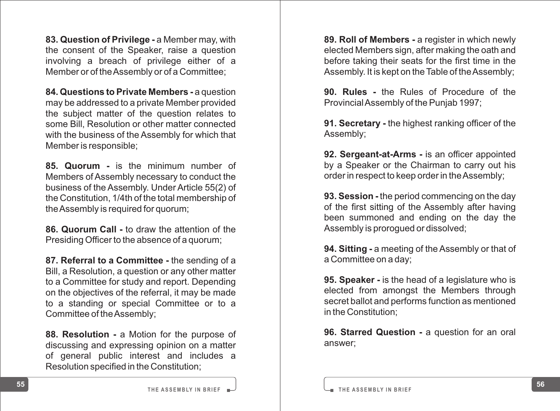**83. Question of Privilege -** a Member may, with the consent of the Speaker, raise a question involving a breach of privilege either of a Member or of the Assembly or of a Committee;

**84. Questions to Private Members -** a question may be addressed to a private Member provided the subject matter of the question relates to some Bill, Resolution or other matter connected with the business of the Assembly for which that Member is responsible;

**85. Quorum -** is the minimum number of Members of Assembly necessary to conduct the business of the Assembly. Under Article 55(2) of the Constitution, 1/4th of the total membership of the Assembly is required for quorum;

**86. Quorum Call -** to draw the attention of the Presiding Officer to the absence of a quorum;

**87. Referral to a Committee -** the sending of a Bill, a Resolution, a question or any other matter to a Committee for study and report. Depending on the objectives of the referral, it may be made to a standing or special Committee or to a Committee of the Assembly;

**88. Resolution -** a Motion for the purpose of discussing and expressing opinion on a matter of general public interest and includes a Resolution specified in the Constitution;

**89. Roll of Members -** a register in which newly elected Members sign, after making the oath and before taking their seats for the first time in the Assembly. It is kept on the Table of the Assembly;

**90. Rules -** the Rules of Procedure of the Provincial Assembly of the Punjab 1997;

**91. Secretary -** the highest ranking officer of the Assembly;

**92. Sergeant-at-Arms -** is an officer appointed by a Speaker or the Chairman to carry out his order in respect to keep order in the Assembly;

**93. Session -** the period commencing on the day of the first sitting of the Assembly after having been summoned and ending on the day the Assembly is prorogued or dissolved;

**94. Sitting -** a meeting of the Assembly or that of a Committee on a day;

**95. Speaker -** is the head of a legislature who is elected from amongst the Members through secret ballot and performs function as mentioned in the Constitution;

**96. Starred Question - a question for an oral** answer;